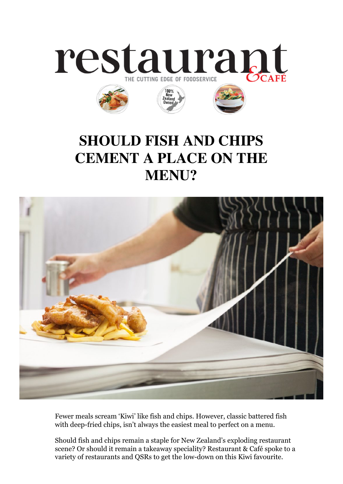

## **SHOULD FISH AND CHIPS CEMENT A PLACE ON THE MENU?**



Fewer meals scream 'Kiwi' like fish and chips. However, classic battered fish with deep-fried chips, isn't always the easiest meal to perfect on a menu.

Should fish and chips remain a staple for New Zealand's exploding restaurant scene? Or should it remain a takeaway speciality? Restaurant & Café spoke to a variety of restaurants and QSRs to get the low-down on this Kiwi favourite.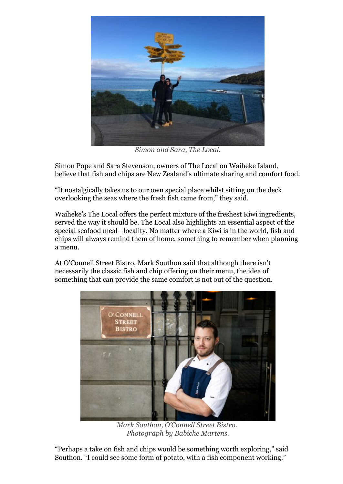

*Simon and Sara, The Local.*

Simon Pope and Sara Stevenson, owners of The Local on Waiheke Island, believe that fish and chips are New Zealand's ultimate sharing and comfort food.

"It nostalgically takes us to our own special place whilst sitting on the deck overlooking the seas where the fresh fish came from," they said.

Waiheke's The Local offers the perfect mixture of the freshest Kiwi ingredients, served the way it should be. The Local also highlights an essential aspect of the special seafood meal—locality. No matter where a Kiwi is in the world, fish and chips will always remind them of home, something to remember when planning a menu.

At O'Connell Street Bistro, Mark Southon said that although there isn't necessarily the classic fish and chip offering on their menu, the idea of something that can provide the same comfort is not out of the question.



*Mark Southon, O'Connell Street Bistro. Photograph by Babiche Martens.*

"Perhaps a take on fish and chips would be something worth exploring," said Southon. "I could see some form of potato, with a fish component working."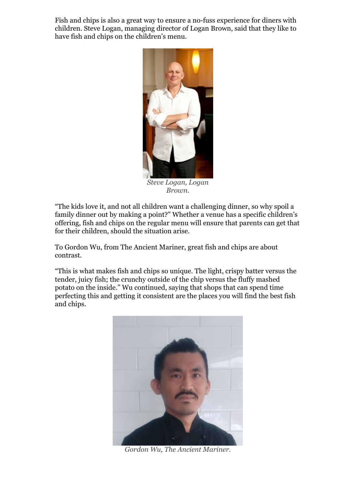Fish and chips is also a great way to ensure a no-fuss experience for diners with children. Steve Logan, managing director of Logan Brown, said that they like to have fish and chips on the children's menu.



*Steve Logan, Logan Brown.*

"The kids love it, and not all children want a challenging dinner, so why spoil a family dinner out by making a point?" Whether a venue has a specific children's offering, fish and chips on the regular menu will ensure that parents can get that for their children, should the situation arise.

To Gordon Wu, from The Ancient Mariner, great fish and chips are about contrast.

"This is what makes fish and chips so unique. The light, crispy batter versus the tender, juicy fish; the crunchy outside of the chip versus the fluffy mashed potato on the inside." Wu continued, saying that shops that can spend time perfecting this and getting it consistent are the places you will find the best fish and chips.



*Gordon Wu, The Ancient Mariner.*